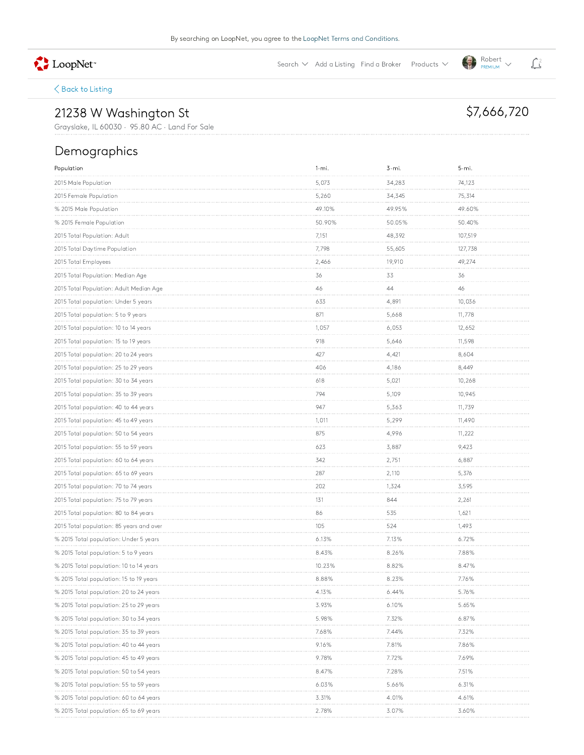LoopNet<sup>\*</sup>

Search  $\vee$  Add a Listing Find a Broker Products  $\vee$ 

 $\bigotimes_{PREMIUM}^{Robert}$ 

\$7,666,720

### $\bigwedge$  Back to Listing

# 21238 W Washington St

Grayslake, IL 60030 · 95.80 AC · Land For Sale

### Demographics

| Population                               | $1 - mi.$ | 3-mi.    | 5-mi.   |
|------------------------------------------|-----------|----------|---------|
| 2015 Male Population                     | 5,073     | 34,283   | 74,123  |
| 2015 Female Population                   | 5,260     | 34,345   | 75,314  |
| % 2015 Male Population                   | 49.10%    | 49.95%   | 49.60%  |
| % 2015 Female Population                 | 50.90%    | 50.05%   | 50.40%  |
| 2015 Total Population: Adult             | 7,151     | 48,392   | 107,519 |
| 2015 Total Daytime Population            | 7,798     | 55,605   | 127,738 |
| 2015 Total Employees                     | 2,466     | 19,910   | 49,274  |
| 2015 Total Population: Median Age        | 36        | 33       | 36      |
| 2015 Total Population: Adult Median Age  | 46        | 44       | 46      |
| 2015 Total population: Under 5 years     | 633       | 4,891    | 10,036  |
| 2015 Total population: 5 to 9 years      | 871       | 5,668    | 11,778  |
| 2015 Total population: 10 to 14 years    | 1,057     | 6,053    | 12,652  |
| 2015 Total population: 15 to 19 years    | 918       | 5,646    | 11,598  |
| 2015 Total population: 20 to 24 years    | 427       | 4,421    | 8,604   |
| 2015 Total population: 25 to 29 years    | 406       | 4,186    | 8,449   |
| 2015 Total population: 30 to 34 years    | 618       | 5,021    | 10,268  |
| 2015 Total population: 35 to 39 years    | 794       | 5,109    | 10,945  |
| 2015 Total population: 40 to 44 years    | 947       | 5,363    | 11,739  |
| 2015 Total population: 45 to 49 years    | 1,011     | 5,299    | 11,490  |
| 2015 Total population: 50 to 54 years    | 875       | 4,996    | 11,222  |
| 2015 Total population: 55 to 59 years    | 623       | 3,887    | 9,423   |
| 2015 Total population: 60 to 64 years    | 342       | 2,751    | 6,887   |
| 2015 Total population: 65 to 69 years    | 287       | 2,110    | 5,376   |
| 2015 Total population: 70 to 74 years    | 202       | 1,324    | 3,595   |
| 2015 Total population: 75 to 79 years    | 131       | 844      | 2,261   |
| 2015 Total population: 80 to 84 years    | 86        | 535      | 1,621   |
| 2015 Total population: 85 years and over | 105       | 524      | 1,493   |
| % 2015 Total population: Under 5 years   | 6.13%     | 7.13%    | 6.72%   |
| % 2015 Total population: 5 to 9 years    | 8.43%     | 8.26%    | 7.88%   |
| % 2015 Total population: 10 to 14 years  | 10.23%    | 8.82%    | 8.47%   |
| % 2015 Total population: 15 to 19 years  | 8.88%     | 8.23%    | 7.76%   |
| % 2015 Total population: 20 to 24 years  | 4.15%     | 6.44%    | 5.76%   |
| % 2015 Total population: 25 to 29 years  | 3.93%     | $6.10\%$ | 5.65%   |
| % 2015 Total population: 30 to 34 years  | 5.98%     | 7.32%    | 6.87%   |
| % 2015 Total population: 35 to 39 years  | 7.68%     | 7.44%    | 7.32%   |
| % 2015 Total population: 40 to 44 years  | 9.16%     | 7.81%    | 7.86%   |
| % 2015 Total population: 45 to 49 years  | 9.78%     | 7.72%    | 7.69%   |
| % 2015 Total population: 50 to 54 years  | 8.47%     | 7.28%    | 7.51%   |
| % 2015 Total population: 55 to 59 years  | 6.03%     | 5.66%    | 6.31%   |
| % 2015 Total population: 60 to 64 years  | 3.31%     | 4.01%    | 4.61%   |
| % 2015 Total population: 65 to 69 years  | 2.78%     | 3.07%    | 3.60%   |

## $\mathbf{L}^2$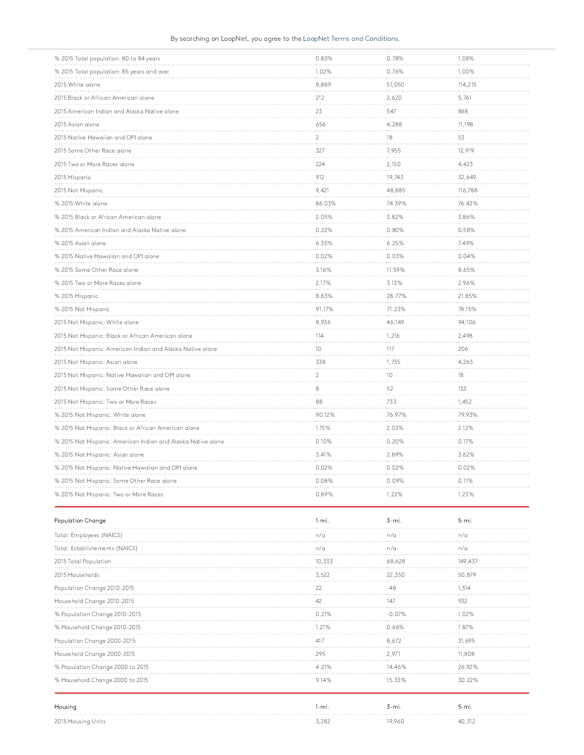#### By searching on LoopNet, you agree to the LoopNet Terms and Conditions.

| % 2015 Total population: 80 to 84 years                      | 0.83%          | 0.78%  | 1.08%   |
|--------------------------------------------------------------|----------------|--------|---------|
| % 2015 Total population: 85 years and over                   | 1.02%          | 0.76%  | 1.00%   |
| 2015 White alone                                             | 8,889          | 51,050 | 114,215 |
| 2015 Black or African American alone                         | 212            | 2,620  | 5,761   |
| 2015 American Indian and Alaska Native alone                 | 23             | 547    | 868     |
| 2015 Asian alone                                             | 656            | 4,288  | 11,198  |
| 2015 Native Hawaiian and OPI alone                           | $\sqrt{2}$     | 18     | 53      |
| 2015 Some Other Race alone                                   | 327            | 7,955  | 12,919  |
| 2015 Two or More Races alone                                 | 224            | 2,150  | 4,423   |
| 2015 Hispanic                                                | 912            | 19,743 | 32,649  |
| 2015 Not Hispanic                                            | 9,421          | 48,885 | 116,788 |
| % 2015 White alone                                           | 86.03%         | 74.39% | 76.43%  |
| % 2015 Black or African American alone                       | 2.05%          | 3.82%  | 3.86%   |
| % 2015 American Indian and Alaska Native alone               | 0.22%          | 0.80%  | 0.58%   |
| % 2015 Asian alone                                           | 6.35%          | 6.25%  | 7.49%   |
| % 2015 Native Hawaiian and OPI alone                         | 0.02%          | 0.03%  | 0.04%   |
| % 2015 Some Other Race alone                                 | 3.16%          | 11.59% | 8.65%   |
| % 2015 Two or More Races alone                               | 2.17%          | 3.13%  | 2.96%   |
| % 2015 Hispanic                                              | 8.83%          | 28.77% | 21.85%  |
| % 2015 Not Hispanic                                          | 91.17%         | 71.23% | 78.15%  |
| 2015 Not Hispanic: White alone                               | 8,936          | 46,149 | 94,106  |
| 2015 Not Hispanic: Black or African American alone           | 114            | 1,216  | 2,498   |
| 2015 Not Hispanic: American Indian and Alaska Native alone   | 10             | 117    | 206     |
| 2015 Not Hispanic: Asian alone                               | 338            | 1,735  | 4,263   |
| 2015 Not Hispanic: Native Hawaiian and OPI alone             | $\overline{2}$ | 10     | 18      |
| 2015 Not Hispanic: Some Other Race alone                     | 8              | 52     | 133     |
| 2015 Not Hispanic: Two or More Races                         | 88             | 733    | 1,452   |
| % 2015 Not Hispanic: White alone                             | 90.12%         | 76.97% | 79.93%  |
| % 2015 Not Hispanic: Black or African American alone         | 1.15%          | 2.03%  | 2.12%   |
| % 2015 Not Hispanic: American Indian and Alaska Native alone | 0.10%          | 0.20%  | 0.17%   |
| % 2015 Not Hispanic: Asian alone                             | 3.41%          | 2.89%  | 3.62%   |
| % 2015 Not Hispanic: Native Hawaiian and OPI alone           | 0.02%          | 0.02%  | 0.02%   |
| % 2015 Not Hispanic: Some Other Race alone                   | 0.08%          | 0.09%  | 0.11%   |
| % 2015 Not Hispanic: Two or More Races                       | 0.89%          | 1.22%  | 1.23%   |

| <b>Population Change</b>         | l-mi   |        | 5-mi    |
|----------------------------------|--------|--------|---------|
| Total: Employees (NAICS)         | n/a    | n/a    | n/a     |
| Total: Establishements (NAICS)   | n/a    | n/a    | n/a     |
| 2015 Total Population            | 10.333 | 68.628 | 149.437 |
| 2015 Households                  | 3.522  | 22,350 | 50.879  |
| Population Change 2010-2015      |        | -48    | 1.514   |
| Household Change 2010-2015       | 42     | 147    | 932     |
| % Population Change 2010-2015    |        | -0.07% |         |
| % Household Change 2010-2015     |        | በ 66%  | 1 87%   |
| Population Change 2000-2015      |        | 8.672  | 31.695  |
| Household Change 2000-2015       | 295    | 2.97   | 11.808  |
| % Population Change 2000 to 2015 | 4.21%  | 14.46% | 26.92%  |
| % Household Change 2000 to 2015  | 9.14%  | 15.33% | 30.22%  |
| Housing                          | 1-mi.  | 3-mi.  | 5-mi.   |
| 2015 Housing Units               | 3.282  | 19.960 | 40.312  |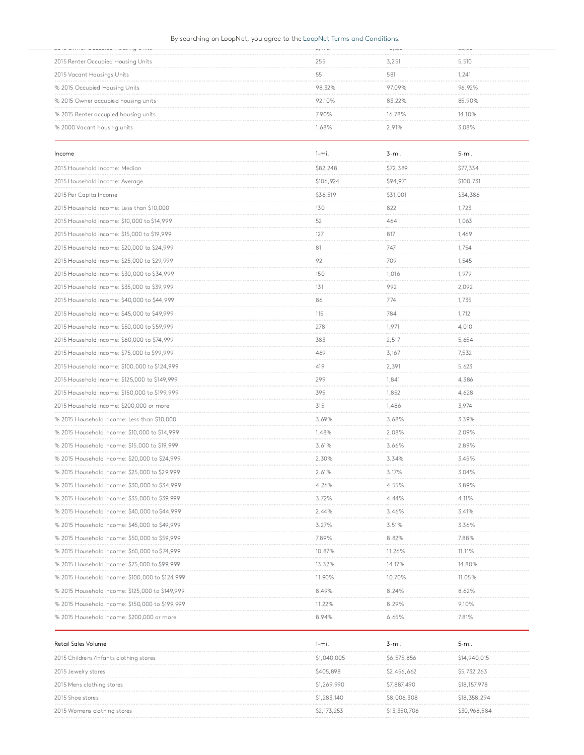#### By searching on LoopNet, you agree to the LoopNet Terms and Conditions.

|                                      | $A_{12}$ $A_{13}$ $A_{23}$ $A_{34}$ | $\cdots$ | $\sim$ $\sim$ $\sim$ $\sim$ |
|--------------------------------------|-------------------------------------|----------|-----------------------------|
| 2015 Renter Occupied Housing Units   | 255                                 | 3.251    | 5,510                       |
| 2015 Vacant Housings Units           |                                     | 58       | .241                        |
| % 2015 Occupied Housing Units        | 98.32%                              | 97 09%   | 96.92%                      |
| % 2015 Owner occupied housing units  | 92.10%                              | 83 22%   | 85 90%                      |
| % 2015 Renter occupied housing units | 790%                                | 1678%    | 14.10%                      |
| % 2000 Vacant housing units          |                                     |          | ነ በጸ%                       |

| Income                                          | $1 - mi$ . | $3 - mi.$ | 5-mi.     |
|-------------------------------------------------|------------|-----------|-----------|
| 2015 Household Income: Median                   | \$82,248   | \$72,389  | \$77,334  |
| 2015 Household Income: Average                  | \$106,924  | \$94,971  | \$100,731 |
| 2015 Per Capita Income                          | \$36,519   | \$31,001  | \$34,386  |
| 2015 Household income: Less than \$10,000       | 130        | 822       | 1,723     |
| 2015 Household income: \$10,000 to \$14,999     | 52         | 464       | 1,063     |
| 2015 Household income: \$15,000 to \$19,999     | 127        | 817       | 1,469     |
| 2015 Household income: \$20,000 to \$24,999     | 81         | 747       | 1,754     |
| 2015 Household income: \$25,000 to \$29,999     | 92         | 709       | 1,545     |
| 2015 Household income: \$30,000 to \$34,999     | 150        | 1,016     | 1,979     |
| 2015 Household income: \$35,000 to \$39,999     | 131        | 992       | 2,092     |
| 2015 Household income: \$40,000 to \$44,999     | 86         | 774       | 1,735     |
| 2015 Household income: \$45,000 to \$49,999     | 115        | 784       | 1,712     |
| 2015 Household income: \$50,000 to \$59,999     | 278        | 1,971     | 4,010     |
| 2015 Household income: \$60,000 to \$74,999     | 383        | 2,517     | 5,654     |
| 2015 Household income: \$75,000 to \$99,999     | 469        | 3,167     | 7,532     |
| 2015 Household income: \$100,000 to \$124,999   | 419        | 2,391     | 5,623     |
| 2015 Household income: \$125,000 to \$149,999   | 299        | 1,841     | 4,386     |
| 2015 Household income: \$150,000 to \$199,999   | 395        | 1,852     | 4,628     |
| 2015 Household income: \$200,000 or more        | 315        | 1,486     | 3,974     |
| % 2015 Household income: Less than \$10,000     | 3.69%      | 3.68%     | 3.39%     |
| % 2015 Household income: \$10,000 to \$14,999   | 1.48%      | 2.08%     | 2.09%     |
| % 2015 Household income: \$15,000 to \$19,999   | 3.61%      | 3.66%     | 2.89%     |
| % 2015 Household income: \$20,000 to \$24,999   | 2.30%      | 3.34%     | 3.45%     |
| % 2015 Household income: \$25,000 to \$29,999   | 2.61%      | 3.17%     | 3.04%     |
| % 2015 Household income: \$30,000 to \$34,999   | 4.26%      | 4.55%     | 3.89%     |
| % 2015 Household income: \$35,000 to \$39,999   | 3.72%      | 4.44%     | 4.11%     |
| % 2015 Household income: \$40,000 to \$44,999   | 2.44%      | 3.46%     | 3.41%     |
| % 2015 Household income: \$45,000 to \$49,999   | 3.27%      | 3.51%     | 3.36%     |
| % 2015 Household income: \$50,000 to \$59,999   | 7.89%      | 8.82%     | 7.88%     |
| % 2015 Household income: \$60,000 to \$74,999   | 10.87%     | 11.26%    | 11.11%    |
| % 2015 Household income: \$75,000 to \$99,999   | 13.32%     | 14.17%    | 14.80%    |
| % 2015 Household income: \$100,000 to \$124,999 | 11.90%     | 10.70%    | 11.05%    |
| % 2015 Household income: \$125,000 to \$149,999 | 8.49%      | 8.24%     | 8.62%     |
| % 2015 Household income: \$150,000 to \$199,999 | 11.22%     | 8.29%     | 9.10%     |
| % 2015 Household income: \$200,000 or more      | 8.94%      | 6.65%     | 7.81%     |

| Retail Sales Volume                    | l-mi.       | 3-mi.        | 5-mi.        |
|----------------------------------------|-------------|--------------|--------------|
| 2015 Childrens/Infants clothing stores | \$1,040,005 | \$6,575,856  | \$14,940,015 |
| 2015 Jewelry stores                    | \$405,898   | \$2,456,662  | \$5,732,263  |
| 2015 Mens clothing stores              | \$1,269,990 | \$7,887,490  | \$18,157,978 |
| 2015 Shoe stores                       | \$1,283,140 | \$8,006,308  | \$18,358,294 |
| 2015 Womens clothing stores            | \$2 173 253 | \$13,350,706 | \$30,968,584 |